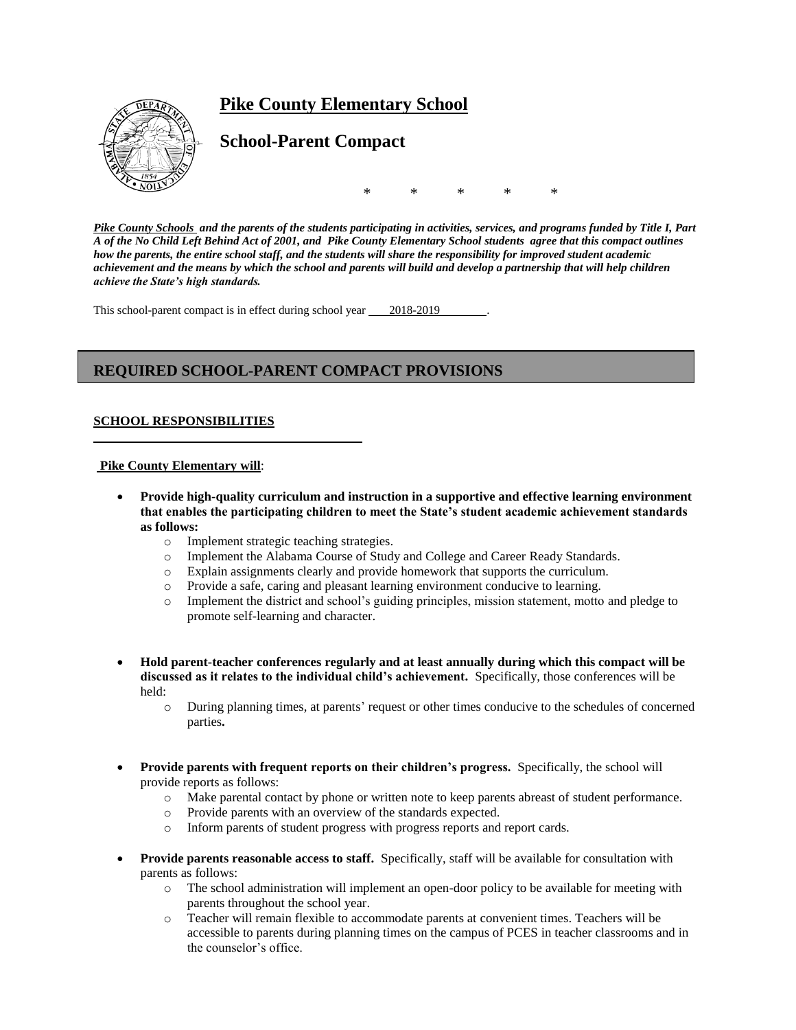# **Pike County Elementary School**



**School-Parent Compact**

\* \* \* \* \*

*Pike County Schools and the parents of the students participating in activities, services, and programs funded by Title I, Part A of the No Child Left Behind Act of 2001, and Pike County Elementary School students agree that this compact outlines how the parents, the entire school staff, and the students will share the responsibility for improved student academic achievement and the means by which the school and parents will build and develop a partnership that will help children achieve the State's high standards.*

This school-parent compact is in effect during school year 2018-2019

## **REQUIRED SCHOOL-PARENT COMPACT PROVISIONS**

## **SCHOOL RESPONSIBILITIES**

#### **Pike County Elementary will**:

- **Provide high-quality curriculum and instruction in a supportive and effective learning environment that enables the participating children to meet the State's student academic achievement standards as follows:**
	- o Implement strategic teaching strategies.
	- o Implement the Alabama Course of Study and College and Career Ready Standards.
	- o Explain assignments clearly and provide homework that supports the curriculum.
	- o Provide a safe, caring and pleasant learning environment conducive to learning.
	- o Implement the district and school's guiding principles, mission statement, motto and pledge to promote self-learning and character.
- **Hold parent-teacher conferences regularly and at least annually during which this compact will be discussed as it relates to the individual child's achievement.** Specifically, those conferences will be held:
	- o During planning times, at parents' request or other times conducive to the schedules of concerned parties**.**
- **Provide parents with frequent reports on their children's progress.** Specifically, the school will provide reports as follows:
	- o Make parental contact by phone or written note to keep parents abreast of student performance.
	- o Provide parents with an overview of the standards expected.
	- o Inform parents of student progress with progress reports and report cards.
- **Provide parents reasonable access to staff.** Specifically, staff will be available for consultation with parents as follows:
	- o The school administration will implement an open-door policy to be available for meeting with parents throughout the school year.
	- o Teacher will remain flexible to accommodate parents at convenient times. Teachers will be accessible to parents during planning times on the campus of PCES in teacher classrooms and in the counselor's office.